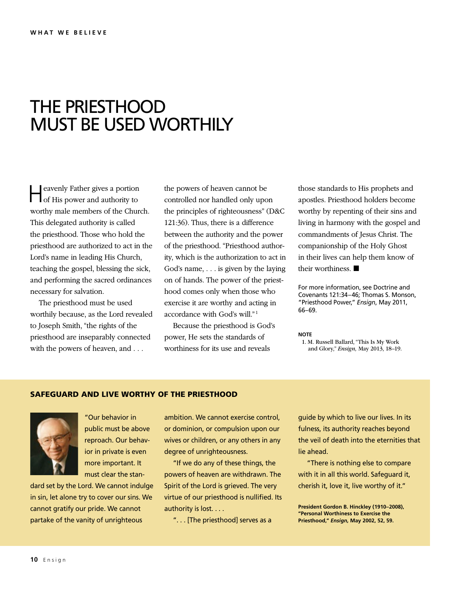## THE PRIESTHOOD MUST BE USED WORTHILY

Heavenly Father gives a portion of His power and authority to worthy male members of the Church. This delegated authority is called the priesthood. Those who hold the priesthood are authorized to act in the Lord's name in leading His Church, teaching the gospel, blessing the sick, and performing the sacred ordinances necessary for salvation.

The priesthood must be used worthily because, as the Lord revealed to Joseph Smith, "the rights of the priesthood are inseparably connected with the powers of heaven, and . . .

the powers of heaven cannot be controlled nor handled only upon the principles of righteousness" (D&C 121:36). Thus, there is a difference between the authority and the power of the priesthood. "Priesthood authority, which is the authorization to act in God's name, . . . is given by the laying on of hands. The power of the priesthood comes only when those who exercise it are worthy and acting in accordance with God's will." 1

Because the priesthood is God's power, He sets the standards of worthiness for its use and reveals

those standards to His prophets and apostles. Priesthood holders become worthy by repenting of their sins and living in harmony with the gospel and commandments of Jesus Christ. The companionship of the Holy Ghost in their lives can help them know of their worthiness. ■

For more information, see Doctrine and Covenants 121:34–46; Thomas S. Monson, "Priesthood Power," *Ensign*, May 2011, 66–69.

## **NOTE**

1. M. Russell Ballard, "This Is My Work and Glory," *Ensign,* May 2013, 18–19.

## SAFEGUARD AND LIVE WORTHY OF THE PRIESTHOOD



"Our behavior in public must be above reproach. Our behavior in private is even more important. It must clear the stan-

dard set by the Lord. We cannot indulge in sin, let alone try to cover our sins. We cannot gratify our pride. We cannot partake of the vanity of unrighteous

ambition. We cannot exercise control, or dominion, or compulsion upon our wives or children, or any others in any degree of unrighteousness.

"If we do any of these things, the powers of heaven are withdrawn. The Spirit of the Lord is grieved. The very virtue of our priesthood is nullified. Its authority is lost. . . .

". . . [The priesthood] serves as a

guide by which to live our lives. In its fulness, its authority reaches beyond the veil of death into the eternities that lie ahead.

"There is nothing else to compare with it in all this world. Safeguard it, cherish it, love it, live worthy of it."

**President Gordon B. Hinckley (1910–2008), "Personal Worthiness to Exercise the Priesthood,"** *Ensign,* **May 2002, 52, 59.**